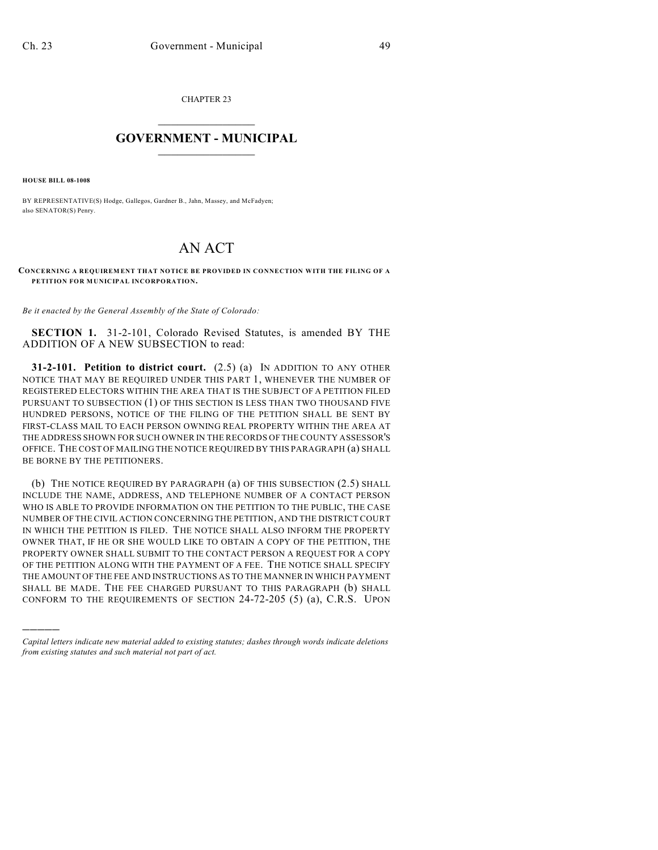CHAPTER 23

## $\mathcal{L}_\text{max}$  . The set of the set of the set of the set of the set of the set of the set of the set of the set of the set of the set of the set of the set of the set of the set of the set of the set of the set of the set **GOVERNMENT - MUNICIPAL**  $\_$

**HOUSE BILL 08-1008**

)))))

BY REPRESENTATIVE(S) Hodge, Gallegos, Gardner B., Jahn, Massey, and McFadyen; also SENATOR(S) Penry.

## AN ACT

## **CONCERNING A REQUIREMENT THAT NOTICE BE PROVIDED IN CONNECTION WITH THE FILING OF A PETITION FOR MUNICIPAL INCORPORATION.**

*Be it enacted by the General Assembly of the State of Colorado:*

**SECTION 1.** 31-2-101, Colorado Revised Statutes, is amended BY THE ADDITION OF A NEW SUBSECTION to read:

**31-2-101. Petition to district court.** (2.5) (a) IN ADDITION TO ANY OTHER NOTICE THAT MAY BE REQUIRED UNDER THIS PART 1, WHENEVER THE NUMBER OF REGISTERED ELECTORS WITHIN THE AREA THAT IS THE SUBJECT OF A PETITION FILED PURSUANT TO SUBSECTION (1) OF THIS SECTION IS LESS THAN TWO THOUSAND FIVE HUNDRED PERSONS, NOTICE OF THE FILING OF THE PETITION SHALL BE SENT BY FIRST-CLASS MAIL TO EACH PERSON OWNING REAL PROPERTY WITHIN THE AREA AT THE ADDRESS SHOWN FOR SUCH OWNER IN THE RECORDS OF THE COUNTY ASSESSOR'S OFFICE. THE COST OF MAILING THE NOTICE REQUIRED BY THIS PARAGRAPH (a) SHALL BE BORNE BY THE PETITIONERS.

(b) THE NOTICE REQUIRED BY PARAGRAPH (a) OF THIS SUBSECTION (2.5) SHALL INCLUDE THE NAME, ADDRESS, AND TELEPHONE NUMBER OF A CONTACT PERSON WHO IS ABLE TO PROVIDE INFORMATION ON THE PETITION TO THE PUBLIC, THE CASE NUMBER OFTHE CIVIL ACTION CONCERNING THE PETITION, AND THE DISTRICT COURT IN WHICH THE PETITION IS FILED. THE NOTICE SHALL ALSO INFORM THE PROPERTY OWNER THAT, IF HE OR SHE WOULD LIKE TO OBTAIN A COPY OF THE PETITION, THE PROPERTY OWNER SHALL SUBMIT TO THE CONTACT PERSON A REQUEST FOR A COPY OF THE PETITION ALONG WITH THE PAYMENT OF A FEE. THE NOTICE SHALL SPECIFY THE AMOUNT OF THE FEE AND INSTRUCTIONS AS TO THE MANNER IN WHICH PAYMENT SHALL BE MADE. THE FEE CHARGED PURSUANT TO THIS PARAGRAPH (b) SHALL CONFORM TO THE REQUIREMENTS OF SECTION 24-72-205 (5) (a), C.R.S. UPON

*Capital letters indicate new material added to existing statutes; dashes through words indicate deletions from existing statutes and such material not part of act.*